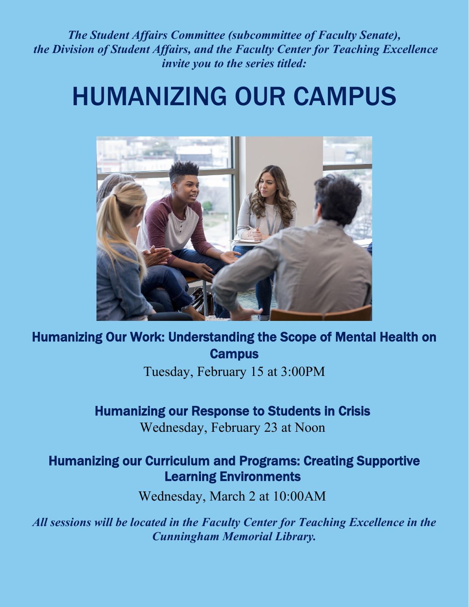*The Student Affairs Committee (subcommittee of Faculty Senate), the Division of Student Affairs, and the Faculty Center for Teaching Excellence invite you to the series titled:*

# HUMANIZING OUR CAMPUS



Humanizing Our Work: Understanding the Scope of Mental Health on **Campus** 

Tuesday, February 15 at 3:00PM

## Humanizing our Response to Students in Crisis

Wednesday, February 23 at Noon

## Humanizing our Curriculum and Programs: Creating Supportive Learning Environments

Wednesday, March 2 at 10:00AM

*All sessions will be located in the Faculty Center for Teaching Excellence in the Cunningham Memorial Library.*